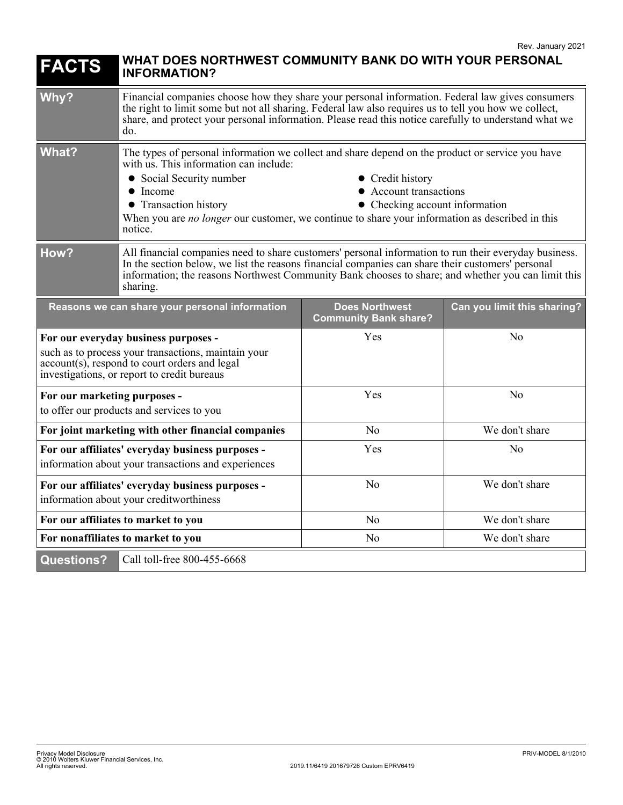| <b>FACTS</b>                                                                                                                                                                                | WHAT DOES NORTHWEST COMMUNITY BANK DO WITH YOUR PERSONAL<br><b>INFORMATION?</b>                                                                                                                                                                                                                                                                                                                                   |                                                       |                             |
|---------------------------------------------------------------------------------------------------------------------------------------------------------------------------------------------|-------------------------------------------------------------------------------------------------------------------------------------------------------------------------------------------------------------------------------------------------------------------------------------------------------------------------------------------------------------------------------------------------------------------|-------------------------------------------------------|-----------------------------|
| Why?                                                                                                                                                                                        | Financial companies choose how they share your personal information. Federal law gives consumers<br>the right to limit some but not all sharing. Federal law also requires us to tell you how we collect,<br>share, and protect your personal information. Please read this notice carefully to understand what we<br>do.                                                                                         |                                                       |                             |
| What?                                                                                                                                                                                       | The types of personal information we collect and share depend on the product or service you have<br>with us. This information can include:<br>• Social Security number<br>• Credit history<br>• Account transactions<br>$\bullet$ Income<br>• Transaction history<br>• Checking account information<br>When you are no longer our customer, we continue to share your information as described in this<br>notice. |                                                       |                             |
| How?                                                                                                                                                                                        | All financial companies need to share customers' personal information to run their everyday business.<br>In the section below, we list the reasons financial companies can share their customers' personal<br>information; the reasons Northwest Community Bank chooses to share; and whether you can limit this<br>sharing.                                                                                      |                                                       |                             |
| Reasons we can share your personal information                                                                                                                                              |                                                                                                                                                                                                                                                                                                                                                                                                                   | <b>Does Northwest</b><br><b>Community Bank share?</b> | Can you limit this sharing? |
| For our everyday business purposes -<br>such as to process your transactions, maintain your<br>account(s), respond to court orders and legal<br>investigations, or report to credit bureaus |                                                                                                                                                                                                                                                                                                                                                                                                                   | Yes                                                   | No                          |
| For our marketing purposes -<br>to offer our products and services to you                                                                                                                   |                                                                                                                                                                                                                                                                                                                                                                                                                   | Yes                                                   | N <sub>0</sub>              |
| For joint marketing with other financial companies                                                                                                                                          |                                                                                                                                                                                                                                                                                                                                                                                                                   | No                                                    | We don't share              |
| For our affiliates' everyday business purposes -<br>information about your transactions and experiences                                                                                     |                                                                                                                                                                                                                                                                                                                                                                                                                   | Yes                                                   | N <sub>0</sub>              |
| For our affiliates' everyday business purposes -<br>information about your creditworthiness                                                                                                 |                                                                                                                                                                                                                                                                                                                                                                                                                   | N <sub>o</sub>                                        | We don't share              |
| For our affiliates to market to you                                                                                                                                                         |                                                                                                                                                                                                                                                                                                                                                                                                                   | No                                                    | We don't share              |
| For nonaffiliates to market to you                                                                                                                                                          |                                                                                                                                                                                                                                                                                                                                                                                                                   | N <sub>o</sub>                                        | We don't share              |
| <b>Questions?</b>                                                                                                                                                                           | Call toll-free 800-455-6668                                                                                                                                                                                                                                                                                                                                                                                       |                                                       |                             |